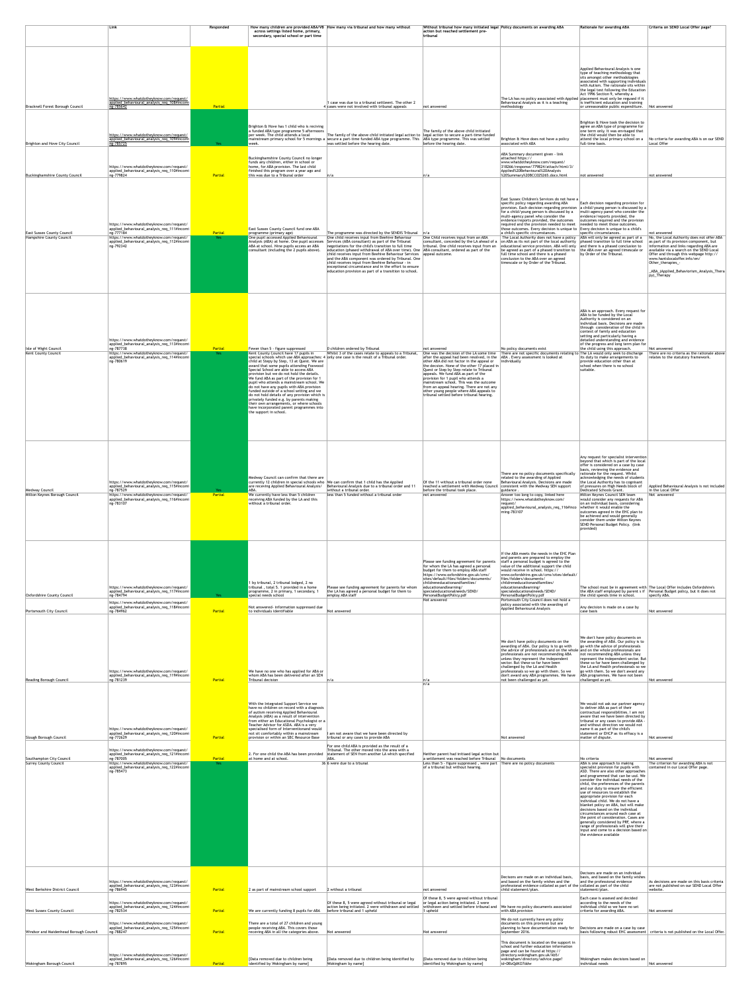|                                                               | $ $ Link                                                                                                                                                                                                      | Responded             | across settings listed home, primary,<br>secondary, special school or part time                                                                                                                                                                                                                                                                                                                                                                                                                                                                                                                                                                               | How many children are provided ABA/VB  How many via tribunal and how many without                                                                                                                                                                                                                                                                                                                                                                                                                                                                                                                   | Without tribunal how many initiated legal Policy documents on awarding ABA<br>action but reached settlement pre-<br> tribunal                                                                                                                                                                                                                                                                                                                                                                                |                                                                                                                                                                                                                                                                                                                                                                                                                                                                                                                                                                                                                                                                                                                                                                                                                                                                          | <b>Rationale for awarding ABA</b>                                                                                                                                                                                                                                                                                                                                                                                                                                                                                                                                                                                                                                                                                        | Criteria on SEND Local Offer page?                                                                                                                                                                                                                                                                                                                      |
|---------------------------------------------------------------|---------------------------------------------------------------------------------------------------------------------------------------------------------------------------------------------------------------|-----------------------|---------------------------------------------------------------------------------------------------------------------------------------------------------------------------------------------------------------------------------------------------------------------------------------------------------------------------------------------------------------------------------------------------------------------------------------------------------------------------------------------------------------------------------------------------------------------------------------------------------------------------------------------------------------|-----------------------------------------------------------------------------------------------------------------------------------------------------------------------------------------------------------------------------------------------------------------------------------------------------------------------------------------------------------------------------------------------------------------------------------------------------------------------------------------------------------------------------------------------------------------------------------------------------|--------------------------------------------------------------------------------------------------------------------------------------------------------------------------------------------------------------------------------------------------------------------------------------------------------------------------------------------------------------------------------------------------------------------------------------------------------------------------------------------------------------|--------------------------------------------------------------------------------------------------------------------------------------------------------------------------------------------------------------------------------------------------------------------------------------------------------------------------------------------------------------------------------------------------------------------------------------------------------------------------------------------------------------------------------------------------------------------------------------------------------------------------------------------------------------------------------------------------------------------------------------------------------------------------------------------------------------------------------------------------------------------------|--------------------------------------------------------------------------------------------------------------------------------------------------------------------------------------------------------------------------------------------------------------------------------------------------------------------------------------------------------------------------------------------------------------------------------------------------------------------------------------------------------------------------------------------------------------------------------------------------------------------------------------------------------------------------------------------------------------------------|---------------------------------------------------------------------------------------------------------------------------------------------------------------------------------------------------------------------------------------------------------------------------------------------------------------------------------------------------------|
| Bracknell Forest Borough Council                              | https://www.whatdotheyknow.com/request/<br>applied_behavioural_analysis_req_108#incomi<br>$ng-785642$                                                                                                         | Partial               |                                                                                                                                                                                                                                                                                                                                                                                                                                                                                                                                                                                                                                                               | 1 case was due to a tribunal settleent. The other 2<br>$4$ cases were not involved with tribunal appeals                                                                                                                                                                                                                                                                                                                                                                                                                                                                                            | not answered                                                                                                                                                                                                                                                                                                                                                                                                                                                                                                 | The LA has no policy associated with Applied placement must only be regused if it<br>Behavioural Analysis as it is a teaching<br>methodology                                                                                                                                                                                                                                                                                                                                                                                                                                                                                                                                                                                                                                                                                                                             | Applied Behavioural Analysis is one<br>type of teaching methodology that<br>sits amongst other methodologies<br>associated with supporting individuals<br>with Autism. The rationale sits within<br>the legal test following the Education<br>Act 1996 Section 9, whereby a<br>is inefficient education and training<br>$\vert$ or unreasonable public expenditure. $\vert$ Not answered                                                                                                                                                                                                                                                                                                                                 |                                                                                                                                                                                                                                                                                                                                                         |
| Brighton and Hove City Council                                | https://www.whatdotheyknow.com/request/<br>applied_behavioural_analysis_req_109#incomi<br>$n_{\rm g}$ -785725                                                                                                 | Yes                   | Brighton & Hove has 1 child who is reciving<br>a funded ABA type programme 5 afternoons<br>Der week. The child attends a local<br>week.                                                                                                                                                                                                                                                                                                                                                                                                                                                                                                                       | The family of the above child initiated legal action to legal action to secure a part-time funded<br>mainstream primary school for 5 mornings a secure a part-time funded ABA type programme. This<br>was settled before the hearing date.                                                                                                                                                                                                                                                                                                                                                          | The family of the above child initiated<br>ABA type programme. This was settled<br>before the hearing date.                                                                                                                                                                                                                                                                                                                                                                                                  | Brighton & Hove does not have a policy<br>associated with ABA                                                                                                                                                                                                                                                                                                                                                                                                                                                                                                                                                                                                                                                                                                                                                                                                            | Brighton & Hove took the decision to<br>agree an ABA type of programme for<br>one term only. It was envisaged that<br>the child would then be able to<br>attend the local primary school on a<br>full-time basis.                                                                                                                                                                                                                                                                                                                                                                                                                                                                                                        | No criteria for awarding ABA is on our SEND<br>Local Offer                                                                                                                                                                                                                                                                                              |
| Buckinghamshire County Council                                | https://www.whatdotheyknow.com/request/<br>applied_behavioural_analysis_req_110#incomi<br>ng-779824                                                                                                           | <b>Partial</b>        | Buckinghamshire County Council no longer<br>funds any children, either in school or<br>home, for ABA provision. The last child<br>finished this program over a year ago and<br>this was due to a Tribunal order                                                                                                                                                                                                                                                                                                                                                                                                                                               | n/a                                                                                                                                                                                                                                                                                                                                                                                                                                                                                                                                                                                                 | ∣n∕a                                                                                                                                                                                                                                                                                                                                                                                                                                                                                                         | ABA Summary document given - link<br>attached https://<br>www.whatdotheyknow.com/request/<br>318266/response/779824/attach/html/3/<br>Applied%20Behavioural%20Analysis<br>%20Summary%20BCC025265.docx.html                                                                                                                                                                                                                                                                                                                                                                                                                                                                                                                                                                                                                                                               | not answered                                                                                                                                                                                                                                                                                                                                                                                                                                                                                                                                                                                                                                                                                                             | not answered                                                                                                                                                                                                                                                                                                                                            |
| <b>East Sussex County Council</b><br>Hampshire County Council | https://www.whatdotheyknow.com/request/<br>applied_behavioural_analysis_req_111#incomi<br>ng-777184<br>https://www.whatdotheyknow.com/request/<br>applied_behavioural_analysis_req_112#incomi<br>ng-792342    | Partial<br>Yes a      | <b>East Sussex County Council fund one ABA</b><br>programme (primary age)<br>One pupil accessed Applied Behavioural<br>Analysis (ABA) at home. One pupil accesses<br>ABA at school. Nine pupils access an ABA<br>consultant (including the 2 pupils above).                                                                                                                                                                                                                                                                                                                                                                                                   | The programme was directed by the SENDIS Tribunal<br>One child receives input from Beehive Behaviour<br>Services (ABA consultant) as part of the Tribunal<br>negotiations for the child's transition to full time<br>education (phased withdrawal of ABA over time). One ABA consultant, ordered as part of the<br>child receives input from Beehive Behaviour Services<br>and the ABA component was ordered by Tribunal. One<br>child receives input from Beehive Behaviour - in<br>exceptional circumstance and in the effort to ensure<br>education provision as part of a transition to school. | ln/a<br>One Child receives input from an ABA<br>consultant, conceded by the LA ahead of a<br>tribunal. One child receives input from an<br>appeal outcome.                                                                                                                                                                                                                                                                                                                                                   | East Sussex Children's Services do not have a<br>specific policy regarding awarding ABA<br>$ $ provision. Each decision regarding provision $ a \text{ child}/$ young person is discussed by a<br>for a child/young person is discussed by a<br>multi-agency panel who consider the<br>evidence/reports provided, the outcomes<br>required and the provision needed to meet   needed to meet those outcomes.<br>those outcomes. Every decision is unique to $\vert$ Every decision is unique to a child's<br>a child's specific circumstances.<br>The Local Authority does not have a policy<br>on ABA as its not part of the local authority<br>educational service provision. ABA will only<br>be agreed as part of a phased transition to<br>full time school and there is a phased<br>conclusion to the ABA over an agreed<br>timescale or by Order of the Tribunal. | Each decision regarding provision for<br>multi-agency panel who consider the<br>evidence/reports provided, the<br>outcomes required and the provision<br>specific circumstances.<br>ABA will only be agreed as part of a<br>phased transition to full time school<br>and there is a phased conclusion to<br>the ABA over an agreed timescale or<br>by Order of the Tribunal.                                                                                                                                                                                                                                                                                                                                             | not answered<br>No, the Local Authority does not offer ABA<br>as part of its provision component, but<br>information and links regarding ABA are<br>available via a search on the SEND Local<br>Offer and through this webpage http://<br>www.hantslocaloffer.info/en/<br>Other_therapies_-<br>_ABA_(Applied_Behaviorism_Analysis_Thera)<br>py)_Therapy |
| Isle of Wight Council<br>Kent County Council                  | https://www.whatdotheyknow.com/request/<br>applied_behavioural_analysis_req_113#incomia<br>Ing-787738<br>https://www.whatdotheyknow.com/request/<br>applied_behavioural_analysis_req_114#incomi<br>ng-780619  | Partial<br>Yes a      | Fewer than 5 - figure suppressed<br>Kent County Council have 17 pupils in<br>child at Stepy by Step, 13 at Quest. We are<br>award that some pupils attending Foxwood<br>Special School are able to access ABA<br>provision but we do not hold the details.<br>We fund ABA as part of the provision for 1<br>pupil who attends a mainstream school. We<br>do not have any pupils with ABA provision<br>funded outside of a school setting and we<br>do not hold details of any provision which is<br>privately funded e.g. by parents making<br>their own arrangements, or where schools<br>have incorporated parent programmes into<br>the support in school. | 0 children ordered by Tribunal<br>Whilst 3 of the cases relate to appeals to a Tribunal,<br>special schools which use ABA approaches: $4$ only one case is the result of a Tribunal order.                                                                                                                                                                                                                                                                                                                                                                                                          | not answered<br>One was the decision of the LA some time<br>after the appeal had been resolved, in the<br>other ABA did not factor in the appeal or<br>the decsion. None of the other 17 placed in<br>Quest or Step by Step relate to Tribunal<br>appeals. We fund ABA as part of the<br>provision for 1 pupil who attends a<br>mainstream school. This was the outcome<br>from an appeal hearing. There are not any<br>other young people where ABA appeals to<br>tribunal settled before tribunal hearing. | No policy documents exist<br>There are not specific documents relating to The LA would only seek to discharge<br>ABA. Every assessment is looked at<br>individually                                                                                                                                                                                                                                                                                                                                                                                                                                                                                                                                                                                                                                                                                                      | ABA is an approach. Every request for<br>ABA to be funded by the Local<br>Authority is considered on an<br>individual basis. Decisions are made<br>through consideration of the child in<br>context of family and education<br>setting and particularly having a<br>detailed understanding and evidence<br>of the progress and long term plan for<br>the child using this approach.<br>its duty to make arrangements to<br>provide education other than at<br>school when there is no school<br>suitable.                                                                                                                                                                                                                | Not answered<br>There are no criteria as the rationale above<br>relates to the statutory framework.                                                                                                                                                                                                                                                     |
| Medway Council<br>Milton Keynes Borough Council               | https://www.whatdotheyknow.com/request/<br>applied_behavioural_analysis_req_115#incomi  <br>ng-787529<br>https://www.whatdotheyknow.com/request/<br>applied_behavioural_analysis_req_116#incomia<br>ng-783107 | Yes<br><b>Partial</b> | Medway Council can confirm that there are<br>ABA.<br>We currently have less than 5 children<br>receiving ABA funded by the LA and this<br>without a tribunal order.                                                                                                                                                                                                                                                                                                                                                                                                                                                                                           | currently 12 children in special schools who We can confirm that 1 child has the Applied<br>are receving Applied Behavioural Analysis/  Behavioural Analysis due to a tribunal order and 11<br>without a tribunal order.<br>less than 5 funded without a tribunal order                                                                                                                                                                                                                                                                                                                             | Of the 11 without a tribunal order none<br>reached a settlement with Medway Counci<br>before the tribunal took place.<br>not answered                                                                                                                                                                                                                                                                                                                                                                        | There are no policy documents specifically<br>related to the awarding of Applied<br>Behavioural Analysis. Decisions are made<br>consistent with the Medway SEN support<br>guidance<br>Answer too long to copy, linked here<br>https://www.whatdotheyknow.com/<br>request/<br> applied_behavioural_analysis_req_116#inco  whether it would enable the<br>ming-783107                                                                                                                                                                                                                                                                                                                                                                                                                                                                                                      | Any request for specialist intervention<br>beyond that which is part of the local<br>offer is considered on a case by case<br>basis, reviewing the evidence and<br>rationale for the request. Whilst<br>acknowledging the needs of students<br>the Local Authority has to cognisant<br>of pressures on High Needs block of<br>Dedicated Schools Grant.<br>Milton Keynes Council SEN team<br>would consider any requests for ABA<br>on an individual basis, considering<br>outcomes agreed in the EHC plan to<br>be achieved and would generally<br>consider them under Milton Keynes<br>SEND Personal Budget Policy. (link<br>provided)                                                                                  | Applied Behavioural Analysis is not included<br>in the Local Offer<br>Not answered                                                                                                                                                                                                                                                                      |
| Oxfordshire County Council<br><b>Portsmouth City Council</b>  | https://www.whatdotheyknow.com/request/<br>applied_behavioural_analysis_req_117#incomi<br>ng-784794<br>https://www.whatdotheyknow.com/request/<br>applied_behavioural_analysis_req_118#incomi  <br>ng-784962  | Yes<br><b>Partial</b> | 1 by tribunal, 2 tribunal lodged, 2 no<br>tribunal, total 5. 1 provided in a home<br>programme, 2 in primary, 1 secondary,<br>special needs school<br>Not answered- information suppressed due<br>to individuals identifiable                                                                                                                                                                                                                                                                                                                                                                                                                                 | Please see funding agreement for parents for whom<br>the LA has agreed a personal budget for them to<br>employ ABA staff<br>Not answered                                                                                                                                                                                                                                                                                                                                                                                                                                                            | Please see funding agreement for parents<br>for whom the LA has agreed a personal<br>budget for them to employ ABA staff<br>https://www.oxfordshire.gov.uk/cms/<br>sites/default/files/folders/documents/<br>childreneducationandfamilies/<br>educationandlearning/<br>specialeducationalneeds/SEND/<br>PersonalBudgetPolicy.pdf<br>Not answered                                                                                                                                                             | If the ABA meets the needs in the EHC Plan<br>and parents are prepared to employ the<br>staff a personal budget is agreed to the<br>value of the additional support the child<br>would receive in school. https://<br>www.oxfordshire.gov.uk/cms/sites/default/<br>files/folders/documents/<br>childreneducationandfamilies/<br>educationandlearning/<br> specialeducationalneeds/SEND/<br>PersonalBudgetPolicy.pdf<br>Portsmouth City Council does not hold a<br>policy associated with the awarding of<br>Applied Behavioural Analysis                                                                                                                                                                                                                                                                                                                                 | the child spends time in school.<br>Any decision is made on a case by<br>case basis                                                                                                                                                                                                                                                                                                                                                                                                                                                                                                                                                                                                                                      | The school must be in agreement with The Local Offer includes Oxfordshire's<br>the ABA staff employed by parent s if $\vert$ Personal Budget policy, but it does not<br>specify ABA.<br>Not answered                                                                                                                                                    |
| Reading Borough Council                                       | https://www.whatdotheyknow.com/request/<br>applied_behavioural_analysis_req_119#incomi<br>$\sqrt{25}$ ng-781239                                                                                               | Partial               | We have no one who has applied for ABA or<br>whom ABA has been delivered after an SEN<br>Tribunal decision                                                                                                                                                                                                                                                                                                                                                                                                                                                                                                                                                    | n/a                                                                                                                                                                                                                                                                                                                                                                                                                                                                                                                                                                                                 | $\ln/a$<br>$\ln/a$                                                                                                                                                                                                                                                                                                                                                                                                                                                                                           | We don't have policy documents on the<br>awarding of ABA. Our policy is to go with<br>the advice of professionals and on the whole and on the whole professionals are<br>professionals are not recommending ABA<br>unless they represent the independent<br>sector. But these so far have been<br>challenged by the LA and Health<br>professionals so we go with them. So we<br>don't award any ABA programmes. We have<br>not been challenged as yet.                                                                                                                                                                                                                                                                                                                                                                                                                   | We don't have policy documents on<br>the awarding of ABA. Our policy is to<br>go with the advice of professionals<br>not recommending ABA unless they<br>represent the independent sector. But<br>these so far have been challenged by<br>the LA and Health professionals so we<br>go with them. So we don't award any<br>ABA programmes. We have not been<br>challenged as yet.                                                                                                                                                                                                                                                                                                                                         | Not answered                                                                                                                                                                                                                                                                                                                                            |
| Slough Borough Council                                        | https://www.whatdotheyknow.com/request/<br>applied_behavioural_analysis_req_120#incomi<br>ng-772629<br>https://www.whatdotheyknow.com/request/<br>applied_behavioural_analysis_req_121#incomi                 | Partial               | With the Integrated Support Service we<br>have no children on record with a diagnosis<br>of autism receiving Applied Behavioural<br>Analysis (ABA) as a result of intervention<br>from either an Educational Psychologist or a<br>Teacher Advisor for ASDA. ABA is a very<br>specialised form of Interventionand would<br>not sit comfortably within a mainstream<br>provision or within an SBC Resource Base<br>2. For one child the ABA has been provided                                                                                                                                                                                                   | I am not aware that we have been directed by<br>tribunal or any cases to provide ABA<br>For one child ABA is provided as the result of a<br>Tribunal. The other moved into the area with a<br>statement of SEN from another LA which specified                                                                                                                                                                                                                                                                                                                                                      | Neither parent had initiaed legal action but                                                                                                                                                                                                                                                                                                                                                                                                                                                                 | Not answered                                                                                                                                                                                                                                                                                                                                                                                                                                                                                                                                                                                                                                                                                                                                                                                                                                                             | We would not ask our partner agency<br>to deliver ABA as part of their<br>contractual responsibilities. I am not<br>aware that we have been directed by<br>tribunal or any cases to provide ABA -<br>and without direction we would not<br>name it as part of the child's<br>statement or EHCP as its effiacy is a<br>matter of dispute.                                                                                                                                                                                                                                                                                                                                                                                 | Not answered                                                                                                                                                                                                                                                                                                                                            |
| Southampton City Council<br>Surrey County Council             | ng-787005<br>https://www.whatdotheyknow.com/request/<br> applied_behavioural_analysis_req_122#incomi  <br>ng-785473                                                                                           | Partial<br>Yes        | at home and at school.                                                                                                                                                                                                                                                                                                                                                                                                                                                                                                                                                                                                                                        | ABA.<br>36 6 were due to a trbunal                                                                                                                                                                                                                                                                                                                                                                                                                                                                                                                                                                  | a settlement was reached before Tribunal<br>Less than 5 - figure suppressed, were part There are no policy documents<br>of a tribunal but without hearing.                                                                                                                                                                                                                                                                                                                                                   | No documents                                                                                                                                                                                                                                                                                                                                                                                                                                                                                                                                                                                                                                                                                                                                                                                                                                                             | No criteria<br>ABA is one approach to making<br>specialist provision for pupils with<br>ASD. There are also other approaches<br>and programmed that can be usd. We<br>consider the individual needs of the<br>child, the preferences of the parents<br>and our duty to ensure the efficient<br>use of resources to establish the<br>appropriate provision for each<br>individual child. We do not have a<br>blanket policy on ABA, but will make<br>decisions based on the individual<br>circumstances around each case at<br>the point of consideration. Cases are<br>generally considered by PRF, where a<br>range of professionals will give their<br>input and come to a decision based on<br>the evidence available | Not answered<br>The criterion for awarding ABA is not<br>contained in our Local Offer page.                                                                                                                                                                                                                                                             |
| West Berkshire District Council                               | https://www.whatdotheyknow.com/request/<br>applied_behavioural_analysis_req_123#incomi<br>ng-786945                                                                                                           | Partial               | 2 as part of mainstream school support                                                                                                                                                                                                                                                                                                                                                                                                                                                                                                                                                                                                                        | 2 without a tribunal                                                                                                                                                                                                                                                                                                                                                                                                                                                                                                                                                                                | not answered<br>Of these 8, 5 were agreed without tribunal                                                                                                                                                                                                                                                                                                                                                                                                                                                   | Decisons are made on an individual basis<br>and based on the family wishes and the<br>professional evidence collated as part of the collated as part of the child<br>child statement/plan.                                                                                                                                                                                                                                                                                                                                                                                                                                                                                                                                                                                                                                                                               | Decisons are made on an individual<br>basis, and based on the family wishes<br>and the professional evidence<br>statement/plan.<br>Each case is assesed and decided                                                                                                                                                                                                                                                                                                                                                                                                                                                                                                                                                      | As decisions are made on this basis criteria<br>are not published on our SEND Local Offer<br>website.                                                                                                                                                                                                                                                   |
| <b>West Sussex County Council</b>                             | https://www.whatdotheyknow.com/request/<br>applied_behavioural_analysis_req_124#incomi<br>ng-782534                                                                                                           | Partial               | We are currently funding 8 pupils for ABA                                                                                                                                                                                                                                                                                                                                                                                                                                                                                                                                                                                                                     | Of these 8, 5 were agreed without tribunal or legal<br>action being initiated. 2 were withdrawn and settled<br>before tribunal and 1 upheld                                                                                                                                                                                                                                                                                                                                                                                                                                                         | or legal action being initiated. 2 were<br>withdrawn and settled before tribunal and<br>1 upheld                                                                                                                                                                                                                                                                                                                                                                                                             | We have no policy documents associated<br>with ABA provision                                                                                                                                                                                                                                                                                                                                                                                                                                                                                                                                                                                                                                                                                                                                                                                                             | according to the needs of the<br>individual child so we have no set<br>criteria for awarding ABA.                                                                                                                                                                                                                                                                                                                                                                                                                                                                                                                                                                                                                        | Not answered                                                                                                                                                                                                                                                                                                                                            |
| Windsor and Maidenhead Borough Council                        | https://www.whatdotheyknow.com/request/<br>applied_behavioural_analysis_req_125#incomi<br>ng-788247                                                                                                           | Partial               | There are a total of 27 children and young<br>people receiving ABA. This covers those<br>receving ABA in all the categories above.                                                                                                                                                                                                                                                                                                                                                                                                                                                                                                                            | Not answered                                                                                                                                                                                                                                                                                                                                                                                                                                                                                                                                                                                        | Not answered                                                                                                                                                                                                                                                                                                                                                                                                                                                                                                 | We do not currently have any policy<br>documents on this provision but are<br>planning to have documentation ready for<br>September 2016.                                                                                                                                                                                                                                                                                                                                                                                                                                                                                                                                                                                                                                                                                                                                | Decisions are made on a case by case                                                                                                                                                                                                                                                                                                                                                                                                                                                                                                                                                                                                                                                                                     | $\vert$ basis following robust EHC assessment $\vert$ criteria is not published on the Local Offer.                                                                                                                                                                                                                                                     |
|                                                               |                                                                                                                                                                                                               |                       |                                                                                                                                                                                                                                                                                                                                                                                                                                                                                                                                                                                                                                                               |                                                                                                                                                                                                                                                                                                                                                                                                                                                                                                                                                                                                     |                                                                                                                                                                                                                                                                                                                                                                                                                                                                                                              | This document is located on the support in<br>chool and further advestion information                                                                                                                                                                                                                                                                                                                                                                                                                                                                                                                                                                                                                                                                                                                                                                                    |                                                                                                                                                                                                                                                                                                                                                                                                                                                                                                                                                                                                                                                                                                                          |                                                                                                                                                                                                                                                                                                                                                         |